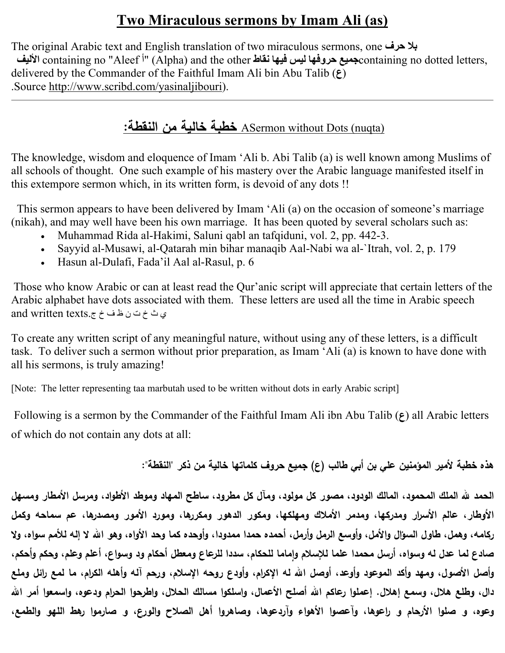## **Two Miraculous sermons by Imam Ali (as)**

The original Arabic text and English translation of two miraculous sermons, one **حرف بال األليف** containing no "Aleef أ) "Alpha) and the other **نقاط فيھا ليس حروفھا جميع**containing no dotted letters, delivered by the Commander of the Faithful Imam Ali bin Abu Talib  $(\epsilon)$ .Source http://www.scribd.com/yasinaljibouri).

## (nuqta (Dots without ASermon **خطبة خالية من النقطة:**

The knowledge, wisdom and eloquence of Imam 'Ali b. Abi Talib (a) is well known among Muslims of all schools of thought. One such example of his mastery over the Arabic language manifested itself in this extempore sermon which, in its written form, is devoid of any dots !!

 This sermon appears to have been delivered by Imam 'Ali (a) on the occasion of someone's marriage (nikah), and may well have been his own marriage. It has been quoted by several scholars such as:

- Muhammad Rida al-Hakimi, Saluni qabl an tafqiduni, vol. 2, pp. 442-3.
- Sayyid al-Musawi, al-Qatarah min bihar manaqib Aal-Nabi wa al-`Itrah, vol. 2, p. 179
- Hasun al-Dulafi, Fada'il Aal al-Rasul, p. 6

Those who know Arabic or can at least read the Qur'anic script will appreciate that certain letters of the Arabic alphabet have dots associated with them. These letters are used all the time in Arabic speech ي ث خ ت ن ظ ف خ ج.and written texts

To create any written script of any meaningful nature, without using any of these letters, is a difficult task. To deliver such a sermon without prior preparation, as Imam 'Ali (a) is known to have done with all his sermons, is truly amazing!

[Note: The letter representing taa marbutah used to be written without dots in early Arabic script]

 Following is a sermon by the Commander of the Faithful Imam Ali ibn Abu Talib (**ع** (all Arabic letters of which do not contain any dots at all:

**هذه خطبة لأمير المؤمنين علي بن أبي طالب (ع) جميع حروف كلماتها خالية من ذكر "النقطة":**

الحمد لله الملك المحمود، المالك الودود، مصور كل مولود، ومآل كل مطرود، ساطح المهاد وموطد الأطواد، ومرسل الأمطار ومسهل **الأوطار، عالم الأسرار ومدركها، ومدمر الأملاك ومهلكها، ومكور الدهور ومكررها، ومورد الأمور ومصدرها، عم سماحه وكمل** ركامه، وهمل، طاول السؤال والأمل، وأوسع الرمل وأرمل، أحمده حمدا ممدودا، وأوحده كما وحد الأواه، وهو الله لا إله للأمم سواه، ولا صادع لما عذل له وسواه، أرسل محمدا علما للإسلام وإماما للحكام، سددا للرعاع ومعطل أحكام ود وسواع، أعلم وعلم، وحكم وأحكم، وأصل الأصول، ومهد وأكد الموعود وأوعد، أوصل الله له الإكرام، وأودع روحه الإسلام، ورحم آله وأهله الكرام، ما لمع رائل وملع دال، وطلع هلال، وسمع إهلال. إعملوا رعاكم الله أصلح الأعمال، وإسلكوا مسالك الحلال، وإطرحوا الحرام ودعوه، وإسمعوا أمر الله وعوه، و صلوا الأرجام و راعوها، وآعصوا الأهواء وآردعوها، وصاهروا أهل الصلاح والورع، و صارموا رهط اللهو والطمع،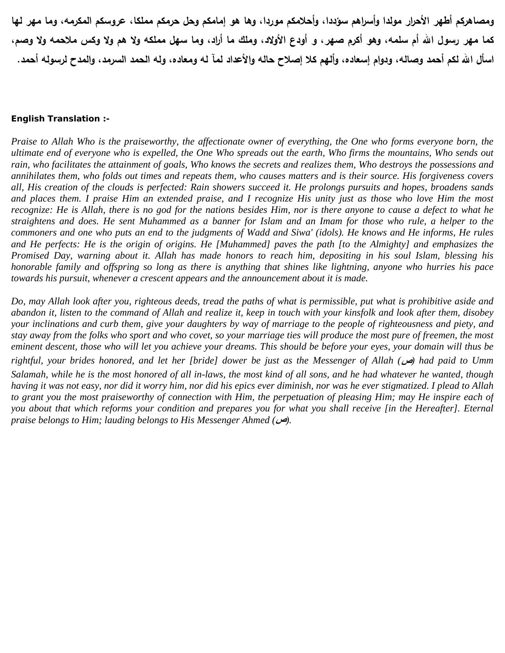ومصاهركم أطهر الأحرار مولدا وأسراهم سؤددا، وأحلامكم موردا، وها هو إمامكم وحل حرمكم مملكا، عروسكم المكرمه، وما مهر لها كما مهر رسول الله أم سلمه، وهو أكرم صهر ، و أودع الأولاد، وملك ما أراد، وما سهل مملكه ولا هم ولا وكس ملاحمه ولا وصم، اسأل الله لكم أحمد وصالـه، ودوام إسعاده، وألـهم كلا إصلاح حالـه والأعداد لمآ لـه ومعاده، ولـه الحمد السرمد، والمدح لرسولـه أحمد.

## **English Translation :-**

*Praise to Allah Who is the praiseworthy, the affectionate owner of everything, the One who forms everyone born, the ultimate end of everyone who is expelled, the One Who spreads out the earth, Who firms the mountains, Who sends out rain, who facilitates the attainment of goals, Who knows the secrets and realizes them, Who destroys the possessions and annihilates them, who folds out times and repeats them, who causes matters and is their source. His forgiveness covers all, His creation of the clouds is perfected: Rain showers succeed it. He prolongs pursuits and hopes, broadens sands and places them. I praise Him an extended praise, and I recognize His unity just as those who love Him the most recognize: He is Allah, there is no god for the nations besides Him, nor is there anyone to cause a defect to what he straightens and does. He sent Muhammed as a banner for Islam and an Imam for those who rule, a helper to the commoners and one who puts an end to the judgments of Wadd and Siwa' (idols). He knows and He informs, He rules and He perfects: He is the origin of origins. He [Muhammed] paves the path [to the Almighty] and emphasizes the Promised Day, warning about it. Allah has made honors to reach him, depositing in his soul Islam, blessing his honorable family and offspring so long as there is anything that shines like lightning, anyone who hurries his pace towards his pursuit, whenever a crescent appears and the announcement about it is made.* 

*Do, may Allah look after you, righteous deeds, tread the paths of what is permissible, put what is prohibitive aside and abandon it, listen to the command of Allah and realize it, keep in touch with your kinsfolk and look after them, disobey your inclinations and curb them, give your daughters by way of marriage to the people of righteousness and piety, and stay away from the folks who sport and who covet, so your marriage ties will produce the most pure of freemen, the most eminent descent, those who will let you achieve your dreams. This should be before your eyes, your domain will thus be rightful, your brides honored, and let her [bride] dower be just as the Messenger of Allah (***ص** *(had paid to Umm Salamah, while he is the most honored of all in-laws, the most kind of all sons, and he had whatever he wanted, though having it was not easy, nor did it worry him, nor did his epics ever diminish, nor was he ever stigmatized. I plead to Allah to grant you the most praiseworthy of connection with Him, the perpetuation of pleasing Him; may He inspire each of you about that which reforms your condition and prepares you for what you shall receive [in the Hereafter]. Eternal praise belongs to Him; lauding belongs to His Messenger Ahmed (***ص***(.*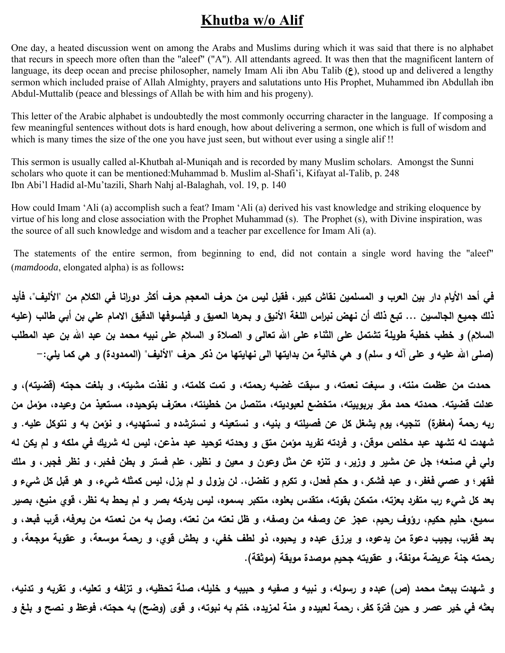## **Khutba w/o Alif**

One day, a heated discussion went on among the Arabs and Muslims during which it was said that there is no alphabet that recurs in speech more often than the "aleef" ("A"). All attendants agreed. It was then that the magnificent lantern of language, its deep ocean and precise philosopher, namely Imam Ali ibn Abu Talib  $(\epsilon)$ , stood up and delivered a lengthy sermon which included praise of Allah Almighty, prayers and salutations unto His Prophet, Muhammed ibn Abdullah ibn Abdul-Muttalib (peace and blessings of Allah be with him and his progeny).

This letter of the Arabic alphabet is undoubtedly the most commonly occurring character in the language. If composing a few meaningful sentences without dots is hard enough, how about delivering a sermon, one which is full of wisdom and which is many times the size of the one you have just seen, but without ever using a single alif!!

This sermon is usually called al-Khutbah al-Muniqah and is recorded by many Muslim scholars. Amongst the Sunni scholars who quote it can be mentioned:Muhammad b. Muslim al-Shafi'i, Kifayat al-Talib, p. 248 Ibn Abi'l Hadid al-Mu'tazili, Sharh Nahj al-Balaghah, vol. 19, p. 140

How could Imam 'Ali (a) accomplish such a feat? Imam 'Ali (a) derived his vast knowledge and striking eloquence by virtue of his long and close association with the Prophet Muhammad (s). The Prophet (s), with Divine inspiration, was the source of all such knowledge and wisdom and a teacher par excellence for Imam Ali (a).

 The statements of the entire sermon, from beginning to end, did not contain a single word having the "aleef" (*mamdooda*, elongated alpha) is as follows**:**

في أحد الأيام دار بين العرب و المسلمين نقاش كبير، فقيل ليس من حرف المعجم حرف أكثر دورانا في الكلام من "الأليف"، فأيد ذلك جميع الجالسين … تبع ذلك أن نهض نبراس اللغة الأنيق و بحرها العميق و فيلسوفها الدقيق الامام على بن أبى طالب (عليه السلام) و خطب خطبة طويلة تشتمل على الثناء على الله تعالى و الصلاة و السلام على نبيه محمد بن عبد الله بن عبد المطلب (صلى الله عليه و على آله و سلم) و هي خالية من بدايتها الى نهايتها من ذكر حرف "الأليف" (الممدودة) و هي كما يلي:–

حمدت من عظمت منته، و سبغت نعمته، و سبقت غضبه رحمته، و تمت كلمته، و نفذت مشيته، و بلغت حجته (قضيته)، و عدلت قضيته. حمدته حمد مقر بربوبيته، متخضع لعبوديته، متنصل من خطيئته، معترف بتوحيده، مستعيذ من وعيده، مؤمل من ربه رحمة (مغفرة) تنجيه، يوم يشغل كل عن فصيلته و بنيه، و نستعينه و نسترشده و نستهديه، و نؤمن به و نتوكل عليه. و شهدت له تشهد عبد مخلص موقن، و فردته تفريد مؤمن متق و وحدته توحيد عبد مذعن، ليس له شريك في ملكه و لم يكن له ولمي في صنعه؛ جل عن مشير و وزير، و تنزه عن مثل وعون و معين و نظير، علم فستر و بطن فخبر، و نظر فجبر، و ملك فقهر؛ و عصبي فغفر، و عبد فشكر، و حكم فعدل، و تكرم و تفضل،. لن يزول و لم يزل، ليس كمثله شيء، و هو قبل كل شيء و بعد كل شيء رب متفرد بعزته، متمكن بقوته، متقدس بعلوه، متكبر بسموه، ليس يدركه بصر و لم يحط به نظر، قوى منيع، بصير سميع، حليم حكيم، رؤوف رحيم، عجز عن وصفه من وصفه، و ظل نعته من نعته، وصل به من نعمته من يعرفه، قرب فبعد، و بعد فقرب، يجيب دعوة من يدعوه، و يرزق عبده و يحبوه، ذو لطف خفي، و بطش قوي، و رحمة موسعة، و عقوبة موجعة، و **رحمته جنة عريضة مونقة، و عقوبته جحيم موصدة موبقة (موثقة).**

و شهدت ببعث محمد (ص) عبده و رسوله، و نبيه و صفيه و حبيبه و خليله، صلة تحظيه، و تزلفه و تعليه، و تقربه و تدنيه، بعثه في خير عصر و حين فترة كفر ، رحمة لعبيده و منة لمزيده، ختم به نبوته، و قوى (وضح) به حجته، فوعظ و نصح و بلغ و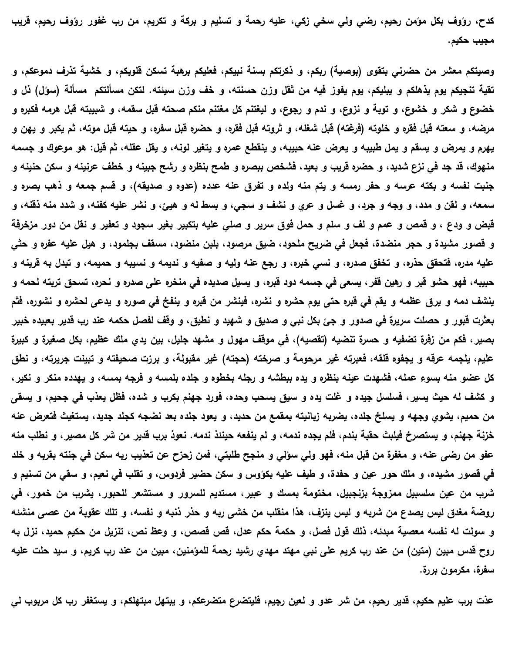كدح، رؤوف بكل مؤمن رحيم، رضى ولى سخى زكى، عليه رحمة و تسليم و بركة و تكريم، من رب غفور رؤوف رحيم، قريب **مجيب حكيم.**

وصيتكم معشر من حضرني بتقوى (بوصية) ريكم، و ذكرتكم بسنة نبيكم، فعليكم برهبة تسكن قلويكم، و خشية تذرف دموعكم، و تقية تنجيكم يوم يذهلكم و يبليكم، يوم يفوز فيه من ثقل وزن حسنته، و خف وزن سيئته. لتكن مسألتكم مسألة (سؤل) ذل و خضوع و شکر و خشوع، و توبة و نزوع، و ندم و رجوع، و ليغتنم کل مغتنم منکم صحته قبل سقمه، و شبيبته قبل هرمه فکبره و مرضه، و سعته قبل فقره و خلوته (فرغته) قبل شغله، و ثروته قبل فقره، و حضره قبل سفره، و حيته قبل موته، ثم يكبر و يهن و یهرم و یمرض و یسقم و یمل طبیبه و یعرض عنه حبیبه، و ینقطع عمره و یتغیر لونه، و یقل عقله، ثم قیل: هو موعوك و جسمه منهوك، قد جد في نزع شديد، و حضره قريب و بعيد، فشخص ببصره و طمح بنظره و رشح جبينه و خطف عرنينه و سكن حنينه و جنبت نفسه و بكته عرسه و حفر رمسه و يتم منه ولده و تفرق عنه عدده (عدوه و صديقه)، و قسم جمعه و ذهب بصره و سمعه، و لقن و مدد، و وجه و جرد، و غسل و عرى و نشف و سجى، و بسط له و هيئ، و نشر عليه كفنه، و شدد منه ذقنه، و قبض و ودع ، و قمص و عمم و لف و سلم و حمل فوق سرير و صلى عليه بتكبير بغير سجود و تعفير و نقل من دور مزخرفة و قصور مشيدة و حجر منضدة، فجعل في ضريح ملحود، ضيق مرصود، بلبن منضود، مسقف بجلمود، و هيل عليه عفره و حثى عليه مدره، فتحقق حذره، و تخفق صدره، و نسى خبره، و رجع عنه وليه و صفيه و نديمه و نسيبه و حميمه، و تبدل به قرينه و حبيبه، فهو حشو قبر و رهين قفر ، يسعى في جسمه دود قبره، و يسيل صديده في منخره على صدره و نحره، تسحق تربته لحمه و ينشف دمه و يرق عظمه و يقم في قبره حتى يوم حشره و نشره، فينشر من قبره و ينفخ في صوره و يدعى لحشره و نشوره، فثم بعثرت قبور و حصلت سريرة في صدور و جئ بكل نبي و صديق و شهيد و نطيق، و وقف لفصل حكمه عند رب قدير بعيده خبير بصير، فكم من زفرة تضفيه و حسرة تنضيه (تقصيه)، في موقف مهول و مشهد جليل، بين يدى ملك عظيم، بكل صغيرة و كبيرة عليم، يلجمه عرقه و يجفوه قلقه، فعبرته غير مرحومة و صرخته (حجته) غير مقبولة، و برزت صحيفته و تبينت جريرته، و نطق کل عضو منه بسوءِ عمله، فشهدت عینه بنظره و یده ببطشه و رجله بخطوه و جلده بلمسه و فرجه بمسه، و یهدده منکر و نکیر، و كشف له حيث يسير، فسلسل جيده و غلت يده و سيق يسحب وحده، فورد جهنم بكرب و شده، فظل يعذب في جحيم، و يسقى من حميم، يشوي وجهه و يسلخ جلده، يضربه زبانيته بمقمع من حديد، و يعود جلده بعد نضجه كجلد جديد، يستغيث فتعرض عنه خزنة جهنم، و يستصرخ فيلبث حقبة بندم، فلم يجده ندمه، و لم ينفعه حينئذ ندمه. نعوذ برب قدير من شر كل مصير، و نطلب منه عفو من رضي عنه، و مغفرة من قبل منه، فهو ولي سؤلي و منجح طلبتي، فمن زحزح عن تعذيب ربه سكن في جنته بقربه و خلد في قصور مشيده، و ملك حور عين و حفدة، و طيف عليه بكؤوس و سكن حضير فردوس، و تقلب في نعيم، و سقي من تسنيم و شرب من عين سلسبيل ممزوجة بزنجبيل، مختومة بمسك و عبير، مستديم للسرور و مستشعر للحبور، يشرب من خمور، في روضة مغنق ليس يصدع من شربه و ليس ينزف، هذا منقلب من خشي ربه و حذر ذنبه و نفسه، و تلك عقوبة من عصبي منشئه و سولت له نفسه معصية مبدئه، ذلك قول فصل، و حكمة حكم عدل، قص قصص، و وعظ نص، تنزيل من حكيم حميد، نزل به روح قدس مبين (متين) من عند رب كريم على نبي مهتد مهدي رشيد رحمة للمؤمنين، مبين من عند رب كريم، و سيد حلت عليه **سفرة، مكرمون بررة.**

عذت برب عليم حكيم، قدير رحيم، من شر عدو و لعين رجيم، فليتضرع متضرعكم، و يبتهل مبتهلكم، و يستغفر رب كل مربوب لي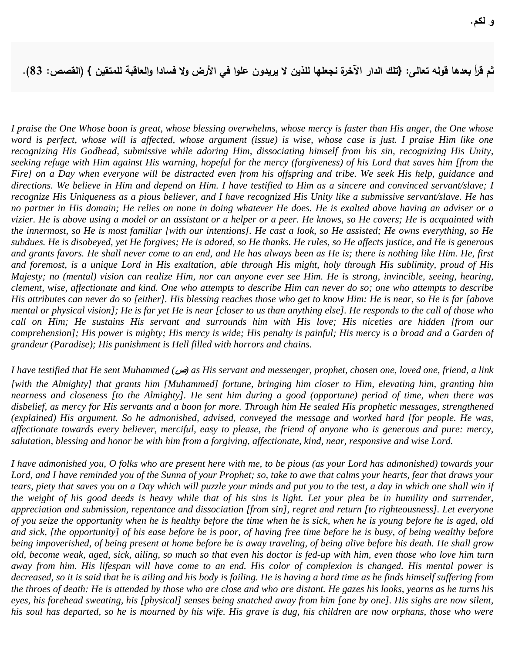ثم قرأ بعدها قوله تعالى: {تلك الدار الآخرة نجعلها للذين لا يريدون علوا في الأرض ولا فسادا والعاقبة للمتقين } (القصص: 83).

*I praise the One Whose boon is great, whose blessing overwhelms, whose mercy is faster than His anger, the One whose word is perfect, whose will is affected, whose argument (issue) is wise, whose case is just. I praise Him like one recognizing His Godhead, submissive while adoring Him, dissociating himself from his sin, recognizing His Unity, seeking refuge with Him against His warning, hopeful for the mercy (forgiveness) of his Lord that saves him [from the Fire] on a Day when everyone will be distracted even from his offspring and tribe. We seek His help, guidance and directions. We believe in Him and depend on Him. I have testified to Him as a sincere and convinced servant/slave; I recognize His Uniqueness as a pious believer, and I have recognized His Unity like a submissive servant/slave. He has no partner in His domain; He relies on none in doing whatever He does. He is exalted above having an adviser or a vizier. He is above using a model or an assistant or a helper or a peer. He knows, so He covers; He is acquainted with the innermost, so He is most familiar [with our intentions]. He cast a look, so He assisted; He owns everything, so He subdues. He is disobeyed, yet He forgives; He is adored, so He thanks. He rules, so He affects justice, and He is generous and grants favors. He shall never come to an end, and He has always been as He is; there is nothing like Him. He, first and foremost, is a unique Lord in His exaltation, able through His might, holy through His sublimity, proud of His Majesty; no (mental) vision can realize Him, nor can anyone ever see Him. He is strong, invincible, seeing, hearing, clement, wise, affectionate and kind. One who attempts to describe Him can never do so; one who attempts to describe His attributes can never do so [either]. His blessing reaches those who get to know Him: He is near, so He is far [above mental or physical vision]; He is far yet He is near [closer to us than anything else]. He responds to the call of those who call on Him; He sustains His servant and surrounds him with His love; His niceties are hidden [from our comprehension]; His power is mighty; His mercy is wide; His penalty is painful; His mercy is a broad and a Garden of grandeur (Paradise); His punishment is Hell filled with horrors and chains.* 

*I have testified that He sent Muhammed (***ص** *(as His servant and messenger, prophet, chosen one, loved one, friend, a link [with the Almighty] that grants him [Muhammed] fortune, bringing him closer to Him, elevating him, granting him nearness and closeness [to the Almighty]. He sent him during a good (opportune) period of time, when there was disbelief, as mercy for His servants and a boon for more. Through him He sealed His prophetic messages, strengthened (explained) His argument. So he admonished, advised, conveyed the message and worked hard [for people. He was, affectionate towards every believer, merciful, easy to please, the friend of anyone who is generous and pure: mercy, salutation, blessing and honor be with him from a forgiving, affectionate, kind, near, responsive and wise Lord.* 

*I have admonished you, O folks who are present here with me, to be pious (as your Lord has admonished) towards your Lord, and I have reminded you of the Sunna of your Prophet; so, take to awe that calms your hearts, fear that draws your tears, piety that saves you on a Day which will puzzle your minds and put you to the test, a day in which one shall win if the weight of his good deeds is heavy while that of his sins is light. Let your plea be in humility and surrender, appreciation and submission, repentance and dissociation [from sin], regret and return [to righteousness]. Let everyone of you seize the opportunity when he is healthy before the time when he is sick, when he is young before he is aged, old and sick, [the opportunity] of his ease before he is poor, of having free time before he is busy, of being wealthy before being impoverished, of being present at home before he is away traveling, of being alive before his death. He shall grow old, become weak, aged, sick, ailing, so much so that even his doctor is fed-up with him, even those who love him turn away from him. His lifespan will have come to an end. His color of complexion is changed. His mental power is decreased, so it is said that he is ailing and his body is failing. He is having a hard time as he finds himself suffering from the throes of death: He is attended by those who are close and who are distant. He gazes his looks, yearns as he turns his eyes, his forehead sweating, his [physical] senses being snatched away from him [one by one]. His sighs are now silent, his soul has departed, so he is mourned by his wife. His grave is dug, his children are now orphans, those who were*